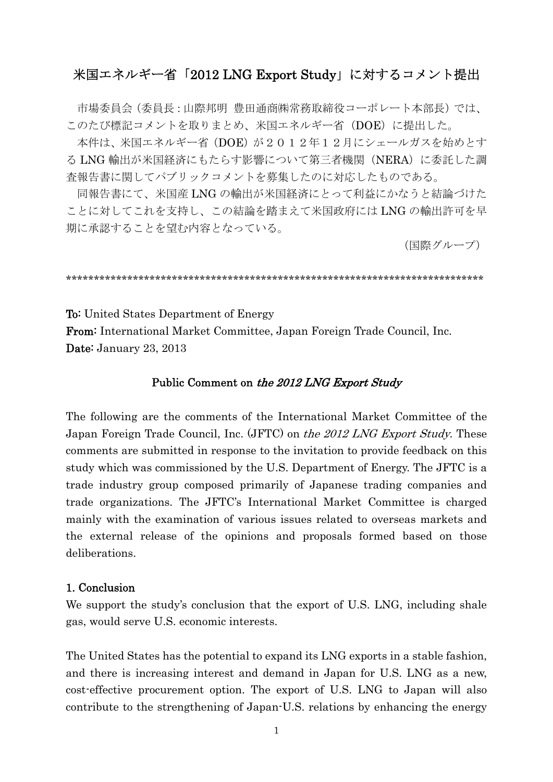## 米国エネルギー省「2012 LNG Export Study」に対するコメント提出

市場委員会 (委員長:山際邦明 豊田通商㈱常務取締役コーポレート本部長) では、 このたび標記コメントを取りまとめ、米国エネルギー省 (DOE)に提出した。

本件は、米国エネルギー省 (DOE) が2012年12月にシェールガスを始めとす る LNG 輸出が米国経済にもたらす影響について第三者機関 (NERA) に委託した調 査報告書に関してパブリックコメントを募集したのに対応したものである。

同報告書にて、米国産 LNG の輸出が米国経済にとって利益にかなうと結論づけた ことに対してこれを支持し、この結論を踏まえて米国政府にはLNGの輸出許可を早 期に承認することを望む内容となっている。

(国際グループ)

**To:** United States Department of Energy From: International Market Committee, Japan Foreign Trade Council, Inc. Date: January 23, 2013

#### Public Comment on the 2012 LNG Export Study

The following are the comments of the International Market Committee of the Japan Foreign Trade Council, Inc. (JFTC) on the 2012 LNG Export Study. These comments are submitted in response to the invitation to provide feedback on this study which was commissioned by the U.S. Department of Energy. The JFTC is a trade industry group composed primarily of Japanese trading companies and trade organizations. The JFTC's International Market Committee is charged mainly with the examination of various issues related to overseas markets and the external release of the opinions and proposals formed based on those deliberations.

### 1. Conclusion

We support the study's conclusion that the export of U.S. LNG, including shale gas, would serve U.S. economic interests.

The United States has the potential to expand its LNG exports in a stable fashion, and there is increasing interest and demand in Japan for U.S. LNG as a new, cost-effective procurement option. The export of U.S. LNG to Japan will also contribute to the strengthening of Japan-U.S. relations by enhancing the energy